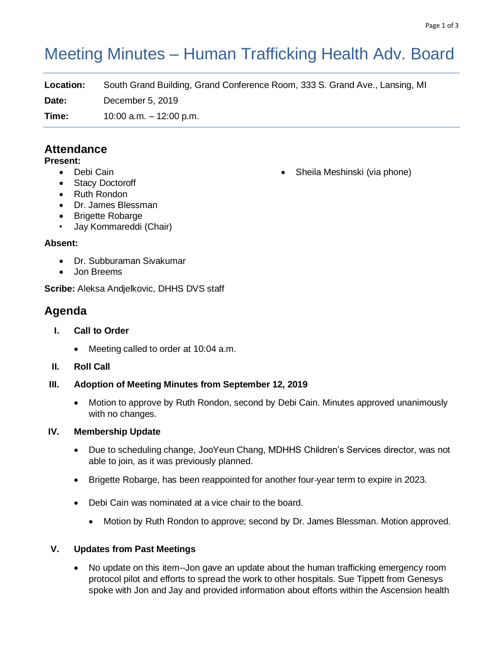# Meeting Minutes – Human Trafficking Health Adv. Board

**Location:** South Grand Building, Grand Conference Room, 333 S. Grand Ave., Lansing, MI

**Date:** December 5, 2019

**Time:** 10:00 a.m. – 12:00 p.m.

### **Attendance**

#### **Present:**

- Debi Cain
- Stacy Doctoroff
- Ruth Rondon
- Dr. James Blessman
- Brigette Robarge
- Jay Kommareddi (Chair)

#### **Absent:**

- Dr. Subburaman Sivakumar
- Jon Breems

**Scribe:** Aleksa Andjelkovic, DHHS DVS staff

## **Agenda**

- **I. Call to Order**
	- Meeting called to order at 10:04 a.m.
- **II. Roll Call**
- **III. Adoption of Meeting Minutes from September 12, 2019**
	- Motion to approve by Ruth Rondon, second by Debi Cain. Minutes approved unanimously with no changes.

#### **IV. Membership Update**

- Due to scheduling change, JooYeun Chang, MDHHS Children's Services director, was not able to join, as it was previously planned.
- Brigette Robarge, has been reappointed for another four-year term to expire in 2023.
- Debi Cain was nominated at a vice chair to the board.
	- Motion by Ruth Rondon to approve; second by Dr. James Blessman. Motion approved.

#### **V. Updates from Past Meetings**

• No update on this item--Jon gave an update about the human trafficking emergency room protocol pilot and efforts to spread the work to other hospitals. Sue Tippett from Genesys spoke with Jon and Jay and provided information about efforts within the Ascension health

• Sheila Meshinski (via phone)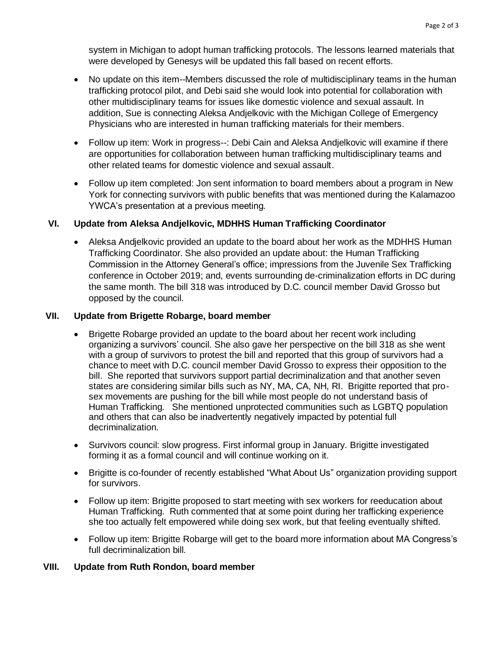system in Michigan to adopt human trafficking protocols. The lessons learned materials that were developed by Genesys will be updated this fall based on recent efforts.

- No update on this item--Members discussed the role of multidisciplinary teams in the human trafficking protocol pilot, and Debi said she would look into potential for collaboration with other multidisciplinary teams for issues like domestic violence and sexual assault. In addition, Sue is connecting Aleksa Andjelkovic with the Michigan College of Emergency Physicians who are interested in human trafficking materials for their members.
- Follow up item: Work in progress--: Debi Cain and Aleksa Andjelkovic will examine if there are opportunities for collaboration between human trafficking multidisciplinary teams and other related teams for domestic violence and sexual assault.
- Follow up item completed: Jon sent information to board members about a program in New York for connecting survivors with public benefits that was mentioned during the Kalamazoo YWCA's presentation at a previous meeting*.*

#### **VI. Update from Aleksa Andjelkovic, MDHHS Human Trafficking Coordinator**

• Aleksa Andjelkovic provided an update to the board about her work as the MDHHS Human Trafficking Coordinator. She also provided an update about: the Human Trafficking Commission in the Attorney General's office; impressions from the Juvenile Sex Trafficking conference in October 2019; and, events surrounding de-criminalization efforts in DC during the same month. The bill 318 was introduced by D.C. council member David Grosso but opposed by the council.

#### **VII. Update from Brigette Robarge, board member**

- Brigette Robarge provided an update to the board about her recent work including organizing a survivors' council. She also gave her perspective on the bill 318 as she went with a group of survivors to protest the bill and reported that this group of survivors had a chance to meet with D.C. council member David Grosso to express their opposition to the bill. She reported that survivors support partial decriminalization and that another seven states are considering similar bills such as NY, MA, CA, NH, RI. Brigitte reported that prosex movements are pushing for the bill while most people do not understand basis of Human Trafficking. She mentioned unprotected communities such as LGBTQ population and others that can also be inadvertently negatively impacted by potential full decriminalization.
- Survivors council: slow progress. First informal group in January. Brigitte investigated forming it as a formal council and will continue working on it.
- Brigitte is co-founder of recently established "What About Us" organization providing support for survivors.
- Follow up item: Brigitte proposed to start meeting with sex workers for reeducation about Human Trafficking. Ruth commented that at some point during her trafficking experience she too actually felt empowered while doing sex work, but that feeling eventually shifted.
- Follow up item: Brigitte Robarge will get to the board more information about MA Congress's full decriminalization bill.

#### **VIII. Update from Ruth Rondon, board member**